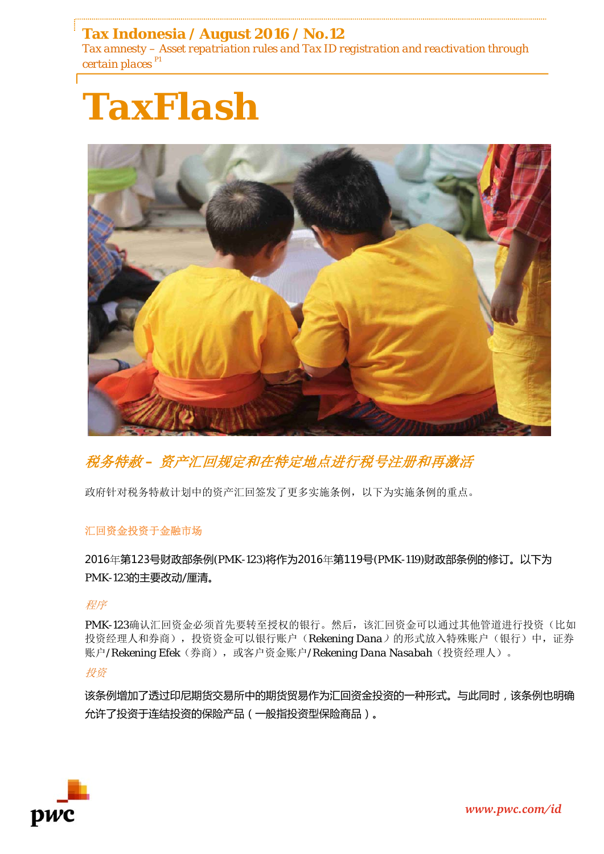## **Tax Indonesia / August 2016 / No.12**

*Tax amnesty – Asset repatriation rules and Tax ID registration and reactivation through certain places P1*





# 税务特赦 *–* 资产汇回规定和在特定地点进行税号注册和再激活

政府针对税务特赦计划中的资产汇回签发了更多实施条例,以下为实施条例的重点。

## 汇回资金投资于金融市场

2016年第123号财政部条例(PMK-123)将作为2016年第119号(PMK-119)财政部条例的修订。以下为 PMK-123的主要改动/厘清。

## 程序

PMK-123确认汇回资金必须首先要转至授权的银行。然后,该汇回资金可以通过其他管道进行投资(比如 投资经理人和券商),投资资金可以银行账户(*Rekening Dana*)的形式放入特殊账户(银行)中,证券 账户/*Rekening Efek*(券商),或客户资金账户/*Rekening Dana Nasabah*(投资经理人)。

## 投资

该条例增加了透过印尼期货交易所中的期货贸易作为汇回资金投资的一种形式。与此同时,该条例也明确 允许了投资于连结投资的保险产品(一般指投资型保险商品)。

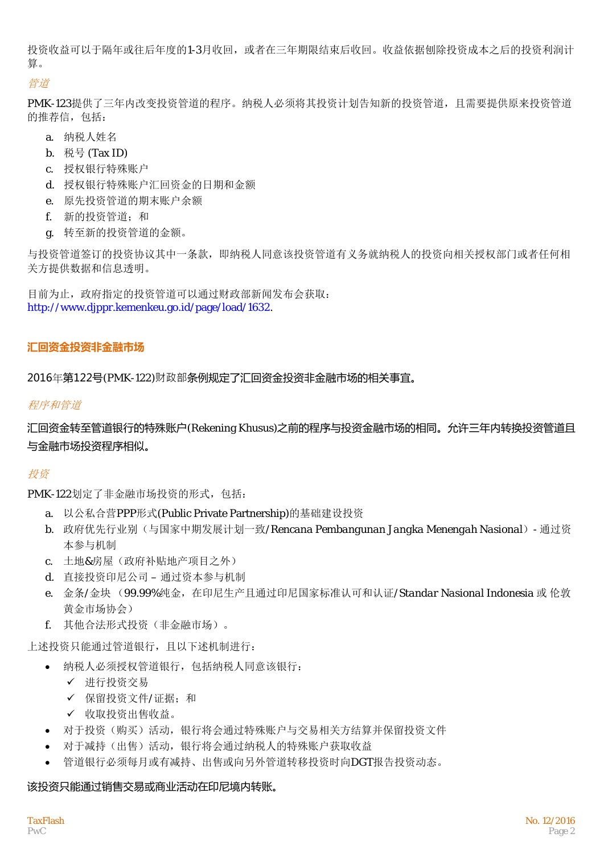投资收益可以于隔年或往后年度的1-3月收回,或者在三年期限结束后收回。收益依据刨除投资成本之后的投资利润计 算。

#### 管道

PMK-123提供了三年内改变投资管道的程序。纳税人必须将其投资计划告知新的投资管道,且需要提供原来投资管道 的推荐信, 包括:

- a. 纳税人姓名
- b. 税号 (Tax ID)
- c. 授权银行特殊账户
- d. 授权银行特殊账户汇回资金的日期和金额
- e. 原先投资管道的期末账户余额
- f. 新的投资管道;和
- g. 转至新的投资管道的金额。

与投资管道签订的投资协议其中一条款,即纳税人同意该投资管道有义务就纳税人的投资向相关授权部门或者任何相 关方提供数据和信息透明。

目前为止,政府指定的投资管道可以通过财政部新闻发布会获取: http://www.djppr.kemenkeu.go.id/page/load/1632.

## **汇回资金投资非金融市场**

2016年第122号(PMK-122)财政部条例规定了汇回资金投资非金融市场的相关事宜。

## 程序和管道

汇回资金转至管道银行的特殊账户(Rekening Khusus)之前的程序与投资金融市场的相同。允许三年内转换投资管道且 与金融市场投资程序相似。

## 投资

PMK-122划定了非金融市场投资的形式,包括:

- a. 以公私合营PPP形式(Public Private Partnership)的基础建设投资
- b. 政府优先行业别(与国家中期发展计划一致/*Rencana Pembangunan Jangka Menengah Nasional*)- 通过资 本参与机制
- c. 土地&房屋(政府补贴地产项目之外)
- d. 直接投资印尼公司 通过资本参与机制
- e. 金条/金块 (99.99%纯金,在印尼生产且通过印尼国家标准认可和认证/*Standar Nasional Indonesia* 或 伦敦 黄金市场协会)
- f. 其他合法形式投资(非金融市场)。

上述投资只能通过管道银行,且以下述机制进行:

- 纳税人必须授权管道银行,包括纳税人同意该银行:
	- 进行投资交易
	- 保留投资文件/证据;和
	- ✔ 收取投资出售收益。
- 对于投资(购买)活动,银行将会通过特殊账户与交易相关方结算并保留投资文件
- 对于减持(出售)活动,银行将会通过纳税人的特殊账户获取收益
- 管道银行必须每月或有减持、出售或向另外管道转移投资时向DGT报告投资动态。

## 该投资只能通过销售交易或商业活动在印尼境内转账。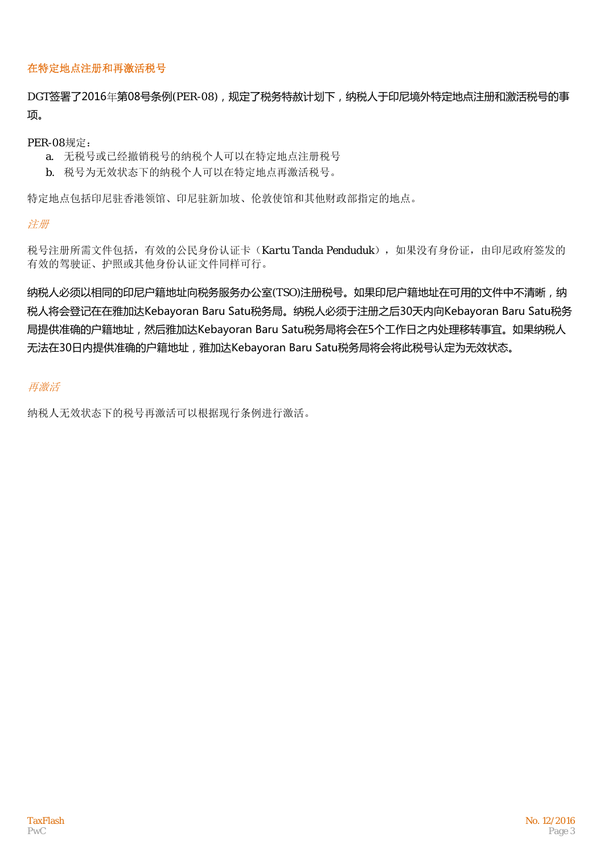#### 在特定地点注册和再激活税号

DGT签署了2016年第08号条例(PER-08),规定了税务特赦计划下,纳税人于印尼境外特定地点注册和激活税号的事 项。

#### PER-08规定:

- a. 无税号或已经撤销税号的纳税个人可以在特定地点注册税号
- b. 税号为无效状态下的纳税个人可以在特定地点再激活税号。

特定地点包括印尼驻香港领馆、印尼驻新加坡、伦敦使馆和其他财政部指定的地点。

#### 注册

税号注册所需文件包括,有效的公民身份认证卡(*Kartu Tanda Penduduk*),如果没有身份证,由印尼政府签发的 有效的驾驶证、护照或其他身份认证文件同样可行。

纳税人必须以相同的印尼户籍地址向税务服务办公室(TSO)注册税号。如果印尼户籍地址在可用的文件中不清晰,纳 税人将会登记在在雅加达Kebayoran Baru Satu税务局。纳税人必须于注册之后30天内向Kebayoran Baru Satu税务 局提供准确的户籍地址,然后雅加达Kebayoran Baru Satu税务局将会在5个工作日之内处理移转事宜。如果纳税人 无法在30日内提供准确的户籍地址,雅加达Kebayoran Baru Satu税务局将会将此税号认定为无效状态。

## 再激活

纳税人无效状态下的税号再激活可以根据现行条例进行激活。